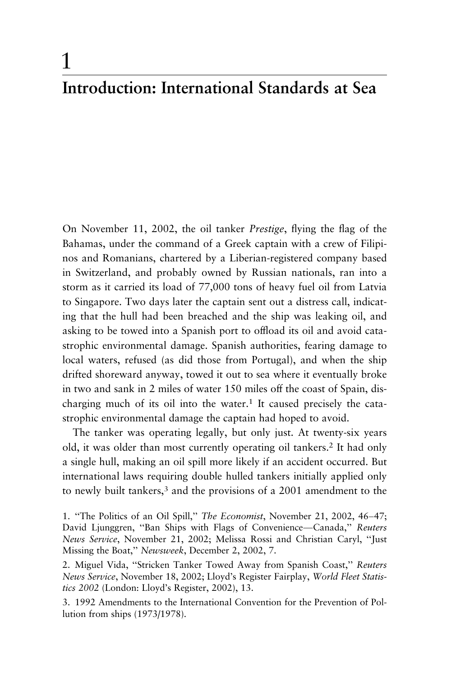## Introduction: International Standards at Sea

1

On November 11, 2002, the oil tanker Prestige, flying the flag of the Bahamas, under the command of a Greek captain with a crew of Filipinos and Romanians, chartered by a Liberian-registered company based in Switzerland, and probably owned by Russian nationals, ran into a storm as it carried its load of 77,000 tons of heavy fuel oil from Latvia to Singapore. Two days later the captain sent out a distress call, indicating that the hull had been breached and the ship was leaking oil, and asking to be towed into a Spanish port to offload its oil and avoid catastrophic environmental damage. Spanish authorities, fearing damage to local waters, refused (as did those from Portugal), and when the ship drifted shoreward anyway, towed it out to sea where it eventually broke in two and sank in 2 miles of water 150 miles off the coast of Spain, discharging much of its oil into the water.<sup>1</sup> It caused precisely the catastrophic environmental damage the captain had hoped to avoid.

The tanker was operating legally, but only just. At twenty-six years old, it was older than most currently operating oil tankers.2 It had only a single hull, making an oil spill more likely if an accident occurred. But international laws requiring double hulled tankers initially applied only to newly built tankers,<sup>3</sup> and the provisions of a 2001 amendment to the

3. 1992 Amendments to the International Convention for the Prevention of Pollution from ships (1973/1978).

<sup>1. &</sup>quot;The Politics of an Oil Spill," The Economist, November 21, 2002, 46-47; David Ljunggren, "Ban Ships with Flags of Convenience—Canada," Reuters News Service, November 21, 2002; Melissa Rossi and Christian Caryl, ''Just Missing the Boat," Newsweek, December 2, 2002, 7.

<sup>2.</sup> Miguel Vida, "Stricken Tanker Towed Away from Spanish Coast," Reuters News Service, November 18, 2002; Lloyd's Register Fairplay, World Fleet Statistics 2002 (London: Lloyd's Register, 2002), 13.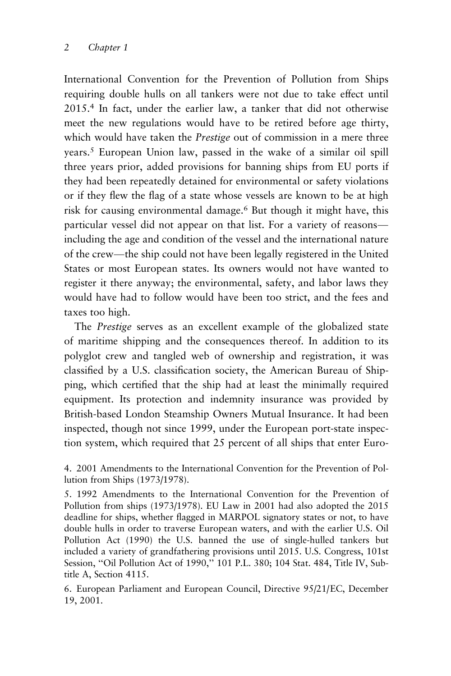International Convention for the Prevention of Pollution from Ships requiring double hulls on all tankers were not due to take effect until 2015.<sup>4</sup> In fact, under the earlier law, a tanker that did not otherwise meet the new regulations would have to be retired before age thirty, which would have taken the Prestige out of commission in a mere three years.<sup>5</sup> European Union law, passed in the wake of a similar oil spill three years prior, added provisions for banning ships from EU ports if they had been repeatedly detained for environmental or safety violations or if they flew the flag of a state whose vessels are known to be at high risk for causing environmental damage.<sup>6</sup> But though it might have, this particular vessel did not appear on that list. For a variety of reasons including the age and condition of the vessel and the international nature of the crew—the ship could not have been legally registered in the United States or most European states. Its owners would not have wanted to register it there anyway; the environmental, safety, and labor laws they would have had to follow would have been too strict, and the fees and taxes too high.

The Prestige serves as an excellent example of the globalized state of maritime shipping and the consequences thereof. In addition to its polyglot crew and tangled web of ownership and registration, it was classified by a U.S. classification society, the American Bureau of Shipping, which certified that the ship had at least the minimally required equipment. Its protection and indemnity insurance was provided by British-based London Steamship Owners Mutual Insurance. It had been inspected, though not since 1999, under the European port-state inspection system, which required that 25 percent of all ships that enter Euro-

4. 2001 Amendments to the International Convention for the Prevention of Pollution from Ships (1973/1978).

5. 1992 Amendments to the International Convention for the Prevention of Pollution from ships (1973/1978). EU Law in 2001 had also adopted the 2015 deadline for ships, whether flagged in MARPOL signatory states or not, to have double hulls in order to traverse European waters, and with the earlier U.S. Oil Pollution Act (1990) the U.S. banned the use of single-hulled tankers but included a variety of grandfathering provisions until 2015. U.S. Congress, 101st Session, "Oil Pollution Act of 1990," 101 P.L. 380; 104 Stat. 484, Title IV, Subtitle A, Section 4115.

6. European Parliament and European Council, Directive 95/21/EC, December 19, 2001.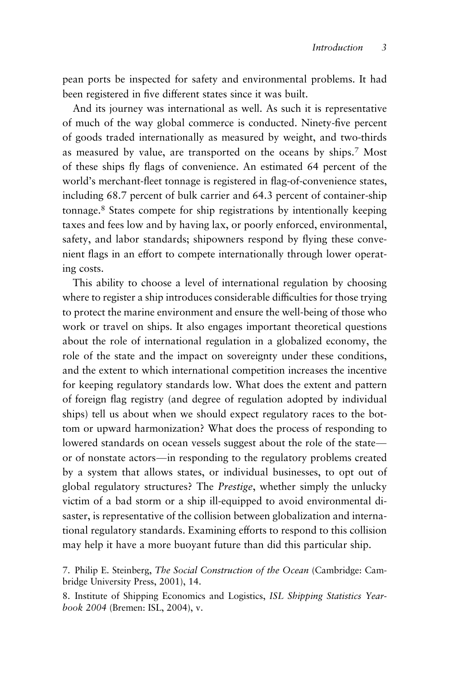pean ports be inspected for safety and environmental problems. It had been registered in five different states since it was built.

And its journey was international as well. As such it is representative of much of the way global commerce is conducted. Ninety-five percent of goods traded internationally as measured by weight, and two-thirds as measured by value, are transported on the oceans by ships.<sup>7</sup> Most of these ships fly flags of convenience. An estimated 64 percent of the world's merchant-fleet tonnage is registered in flag-of-convenience states, including 68.7 percent of bulk carrier and 64.3 percent of container-ship tonnage.<sup>8</sup> States compete for ship registrations by intentionally keeping taxes and fees low and by having lax, or poorly enforced, environmental, safety, and labor standards; shipowners respond by flying these convenient flags in an effort to compete internationally through lower operating costs.

This ability to choose a level of international regulation by choosing where to register a ship introduces considerable difficulties for those trying to protect the marine environment and ensure the well-being of those who work or travel on ships. It also engages important theoretical questions about the role of international regulation in a globalized economy, the role of the state and the impact on sovereignty under these conditions, and the extent to which international competition increases the incentive for keeping regulatory standards low. What does the extent and pattern of foreign flag registry (and degree of regulation adopted by individual ships) tell us about when we should expect regulatory races to the bottom or upward harmonization? What does the process of responding to lowered standards on ocean vessels suggest about the role of the state or of nonstate actors—in responding to the regulatory problems created by a system that allows states, or individual businesses, to opt out of global regulatory structures? The Prestige, whether simply the unlucky victim of a bad storm or a ship ill-equipped to avoid environmental disaster, is representative of the collision between globalization and international regulatory standards. Examining efforts to respond to this collision may help it have a more buoyant future than did this particular ship.

7. Philip E. Steinberg, The Social Construction of the Ocean (Cambridge: Cambridge University Press, 2001), 14.

8. Institute of Shipping Economics and Logistics, ISL Shipping Statistics Yearbook 2004 (Bremen: ISL, 2004), v.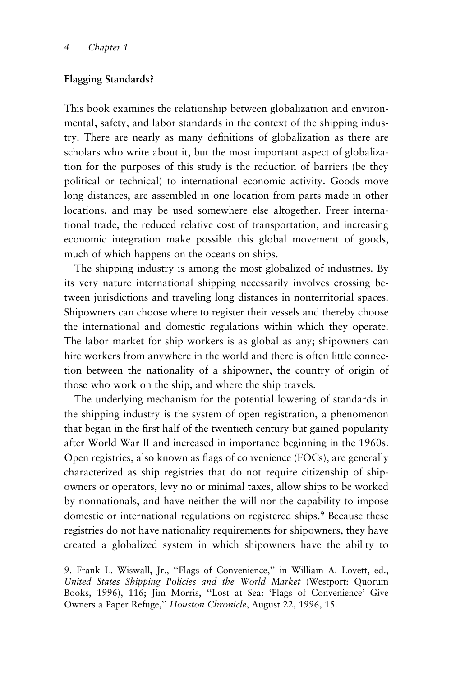## Flagging Standards?

This book examines the relationship between globalization and environmental, safety, and labor standards in the context of the shipping industry. There are nearly as many definitions of globalization as there are scholars who write about it, but the most important aspect of globalization for the purposes of this study is the reduction of barriers (be they political or technical) to international economic activity. Goods move long distances, are assembled in one location from parts made in other locations, and may be used somewhere else altogether. Freer international trade, the reduced relative cost of transportation, and increasing economic integration make possible this global movement of goods, much of which happens on the oceans on ships.

The shipping industry is among the most globalized of industries. By its very nature international shipping necessarily involves crossing between jurisdictions and traveling long distances in nonterritorial spaces. Shipowners can choose where to register their vessels and thereby choose the international and domestic regulations within which they operate. The labor market for ship workers is as global as any; shipowners can hire workers from anywhere in the world and there is often little connection between the nationality of a shipowner, the country of origin of those who work on the ship, and where the ship travels.

The underlying mechanism for the potential lowering of standards in the shipping industry is the system of open registration, a phenomenon that began in the first half of the twentieth century but gained popularity after World War II and increased in importance beginning in the 1960s. Open registries, also known as flags of convenience (FOCs), are generally characterized as ship registries that do not require citizenship of shipowners or operators, levy no or minimal taxes, allow ships to be worked by nonnationals, and have neither the will nor the capability to impose domestic or international regulations on registered ships.<sup>9</sup> Because these registries do not have nationality requirements for shipowners, they have created a globalized system in which shipowners have the ability to

9. Frank L. Wiswall, Jr., ''Flags of Convenience,'' in William A. Lovett, ed., United States Shipping Policies and the World Market (Westport: Quorum Books, 1996), 116; Jim Morris, ''Lost at Sea: 'Flags of Convenience' Give Owners a Paper Refuge,'' Houston Chronicle, August 22, 1996, 15.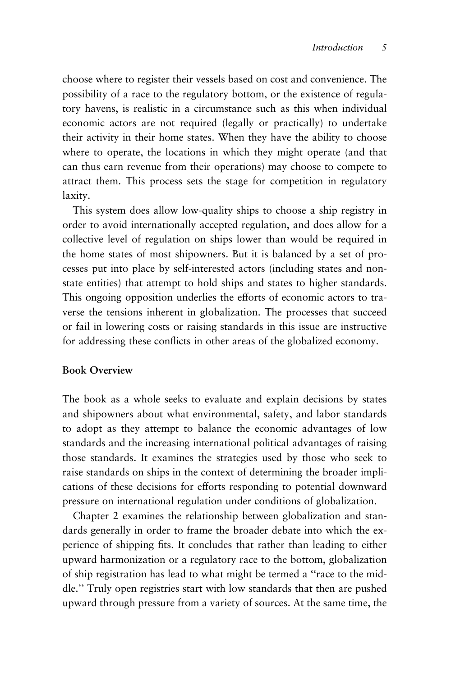choose where to register their vessels based on cost and convenience. The possibility of a race to the regulatory bottom, or the existence of regulatory havens, is realistic in a circumstance such as this when individual economic actors are not required (legally or practically) to undertake their activity in their home states. When they have the ability to choose where to operate, the locations in which they might operate (and that can thus earn revenue from their operations) may choose to compete to attract them. This process sets the stage for competition in regulatory laxity.

This system does allow low-quality ships to choose a ship registry in order to avoid internationally accepted regulation, and does allow for a collective level of regulation on ships lower than would be required in the home states of most shipowners. But it is balanced by a set of processes put into place by self-interested actors (including states and nonstate entities) that attempt to hold ships and states to higher standards. This ongoing opposition underlies the efforts of economic actors to traverse the tensions inherent in globalization. The processes that succeed or fail in lowering costs or raising standards in this issue are instructive for addressing these conflicts in other areas of the globalized economy.

## Book Overview

The book as a whole seeks to evaluate and explain decisions by states and shipowners about what environmental, safety, and labor standards to adopt as they attempt to balance the economic advantages of low standards and the increasing international political advantages of raising those standards. It examines the strategies used by those who seek to raise standards on ships in the context of determining the broader implications of these decisions for efforts responding to potential downward pressure on international regulation under conditions of globalization.

Chapter 2 examines the relationship between globalization and standards generally in order to frame the broader debate into which the experience of shipping fits. It concludes that rather than leading to either upward harmonization or a regulatory race to the bottom, globalization of ship registration has lead to what might be termed a ''race to the middle.'' Truly open registries start with low standards that then are pushed upward through pressure from a variety of sources. At the same time, the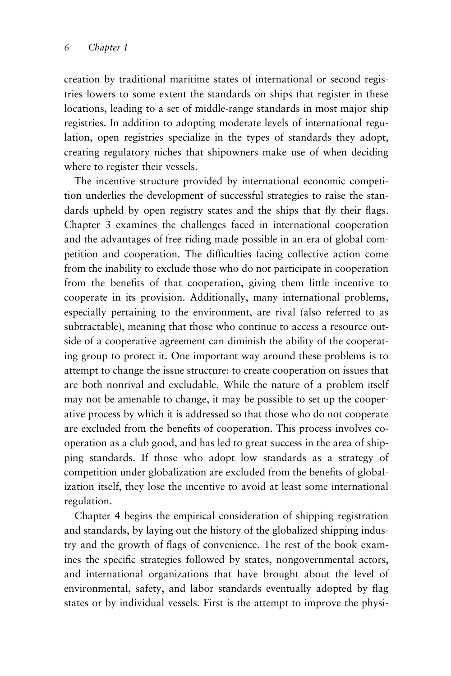creation by traditional maritime states of international or second registries lowers to some extent the standards on ships that register in these locations, leading to a set of middle-range standards in most major ship registries. In addition to adopting moderate levels of international regulation, open registries specialize in the types of standards they adopt, creating regulatory niches that shipowners make use of when deciding where to register their vessels.

The incentive structure provided by international economic competition underlies the development of successful strategies to raise the standards upheld by open registry states and the ships that fly their flags. Chapter 3 examines the challenges faced in international cooperation and the advantages of free riding made possible in an era of global competition and cooperation. The difficulties facing collective action come from the inability to exclude those who do not participate in cooperation from the benefits of that cooperation, giving them little incentive to cooperate in its provision. Additionally, many international problems, especially pertaining to the environment, are rival (also referred to as subtractable), meaning that those who continue to access a resource outside of a cooperative agreement can diminish the ability of the cooperating group to protect it. One important way around these problems is to attempt to change the issue structure: to create cooperation on issues that are both nonrival and excludable. While the nature of a problem itself may not be amenable to change, it may be possible to set up the cooperative process by which it is addressed so that those who do not cooperate are excluded from the benefits of cooperation. This process involves cooperation as a club good, and has led to great success in the area of shipping standards. If those who adopt low standards as a strategy of competition under globalization are excluded from the benefits of globalization itself, they lose the incentive to avoid at least some international regulation.

Chapter 4 begins the empirical consideration of shipping registration and standards, by laying out the history of the globalized shipping industry and the growth of flags of convenience. The rest of the book examines the specific strategies followed by states, nongovernmental actors, and international organizations that have brought about the level of environmental, safety, and labor standards eventually adopted by flag states or by individual vessels. First is the attempt to improve the physi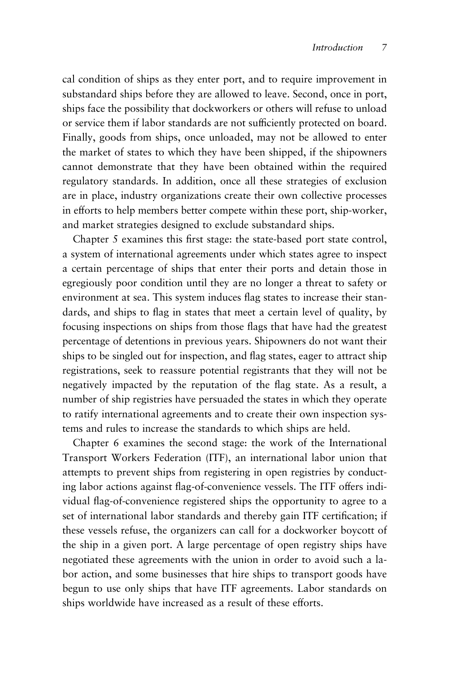cal condition of ships as they enter port, and to require improvement in substandard ships before they are allowed to leave. Second, once in port, ships face the possibility that dockworkers or others will refuse to unload or service them if labor standards are not sufficiently protected on board. Finally, goods from ships, once unloaded, may not be allowed to enter the market of states to which they have been shipped, if the shipowners cannot demonstrate that they have been obtained within the required regulatory standards. In addition, once all these strategies of exclusion are in place, industry organizations create their own collective processes in efforts to help members better compete within these port, ship-worker, and market strategies designed to exclude substandard ships.

Chapter 5 examines this first stage: the state-based port state control, a system of international agreements under which states agree to inspect a certain percentage of ships that enter their ports and detain those in egregiously poor condition until they are no longer a threat to safety or environment at sea. This system induces flag states to increase their standards, and ships to flag in states that meet a certain level of quality, by focusing inspections on ships from those flags that have had the greatest percentage of detentions in previous years. Shipowners do not want their ships to be singled out for inspection, and flag states, eager to attract ship registrations, seek to reassure potential registrants that they will not be negatively impacted by the reputation of the flag state. As a result, a number of ship registries have persuaded the states in which they operate to ratify international agreements and to create their own inspection systems and rules to increase the standards to which ships are held.

Chapter 6 examines the second stage: the work of the International Transport Workers Federation (ITF), an international labor union that attempts to prevent ships from registering in open registries by conducting labor actions against flag-of-convenience vessels. The ITF offers individual flag-of-convenience registered ships the opportunity to agree to a set of international labor standards and thereby gain ITF certification; if these vessels refuse, the organizers can call for a dockworker boycott of the ship in a given port. A large percentage of open registry ships have negotiated these agreements with the union in order to avoid such a labor action, and some businesses that hire ships to transport goods have begun to use only ships that have ITF agreements. Labor standards on ships worldwide have increased as a result of these efforts.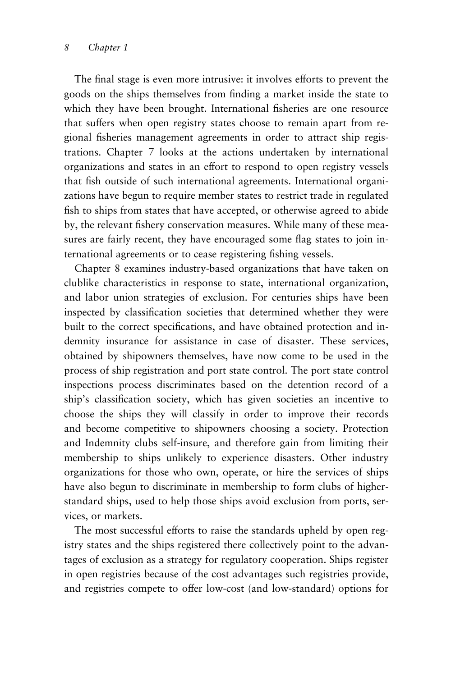The final stage is even more intrusive: it involves efforts to prevent the goods on the ships themselves from finding a market inside the state to which they have been brought. International fisheries are one resource that suffers when open registry states choose to remain apart from regional fisheries management agreements in order to attract ship registrations. Chapter 7 looks at the actions undertaken by international organizations and states in an effort to respond to open registry vessels that fish outside of such international agreements. International organizations have begun to require member states to restrict trade in regulated fish to ships from states that have accepted, or otherwise agreed to abide by, the relevant fishery conservation measures. While many of these measures are fairly recent, they have encouraged some flag states to join international agreements or to cease registering fishing vessels.

Chapter 8 examines industry-based organizations that have taken on clublike characteristics in response to state, international organization, and labor union strategies of exclusion. For centuries ships have been inspected by classification societies that determined whether they were built to the correct specifications, and have obtained protection and indemnity insurance for assistance in case of disaster. These services, obtained by shipowners themselves, have now come to be used in the process of ship registration and port state control. The port state control inspections process discriminates based on the detention record of a ship's classification society, which has given societies an incentive to choose the ships they will classify in order to improve their records and become competitive to shipowners choosing a society. Protection and Indemnity clubs self-insure, and therefore gain from limiting their membership to ships unlikely to experience disasters. Other industry organizations for those who own, operate, or hire the services of ships have also begun to discriminate in membership to form clubs of higherstandard ships, used to help those ships avoid exclusion from ports, services, or markets.

The most successful efforts to raise the standards upheld by open registry states and the ships registered there collectively point to the advantages of exclusion as a strategy for regulatory cooperation. Ships register in open registries because of the cost advantages such registries provide, and registries compete to offer low-cost (and low-standard) options for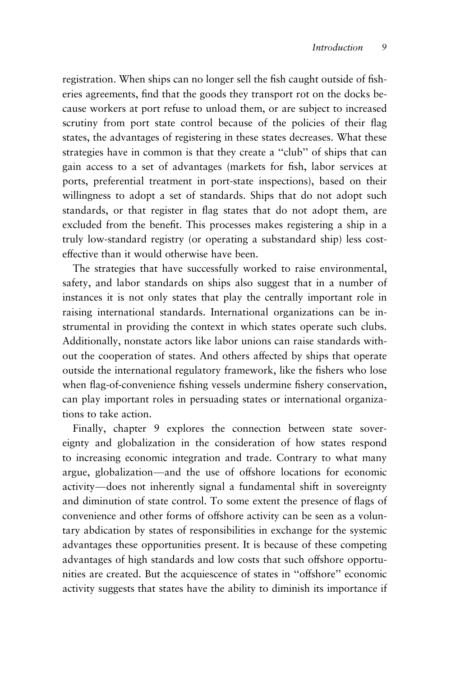registration. When ships can no longer sell the fish caught outside of fisheries agreements, find that the goods they transport rot on the docks because workers at port refuse to unload them, or are subject to increased scrutiny from port state control because of the policies of their flag states, the advantages of registering in these states decreases. What these strategies have in common is that they create a ''club'' of ships that can gain access to a set of advantages (markets for fish, labor services at ports, preferential treatment in port-state inspections), based on their willingness to adopt a set of standards. Ships that do not adopt such standards, or that register in flag states that do not adopt them, are excluded from the benefit. This processes makes registering a ship in a truly low-standard registry (or operating a substandard ship) less costeffective than it would otherwise have been.

The strategies that have successfully worked to raise environmental, safety, and labor standards on ships also suggest that in a number of instances it is not only states that play the centrally important role in raising international standards. International organizations can be instrumental in providing the context in which states operate such clubs. Additionally, nonstate actors like labor unions can raise standards without the cooperation of states. And others affected by ships that operate outside the international regulatory framework, like the fishers who lose when flag-of-convenience fishing vessels undermine fishery conservation, can play important roles in persuading states or international organizations to take action.

Finally, chapter 9 explores the connection between state sovereignty and globalization in the consideration of how states respond to increasing economic integration and trade. Contrary to what many argue, globalization—and the use of offshore locations for economic activity—does not inherently signal a fundamental shift in sovereignty and diminution of state control. To some extent the presence of flags of convenience and other forms of offshore activity can be seen as a voluntary abdication by states of responsibilities in exchange for the systemic advantages these opportunities present. It is because of these competing advantages of high standards and low costs that such offshore opportunities are created. But the acquiescence of states in ''offshore'' economic activity suggests that states have the ability to diminish its importance if